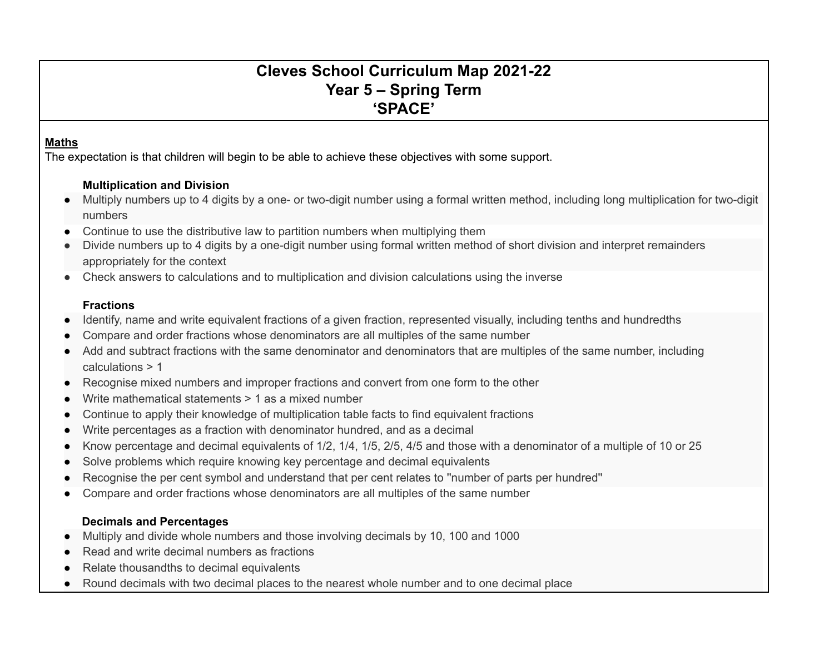# **Cleves School Curriculum Map 2021-22 Year 5 – Spring Term 'SPACE'**

#### **Maths**

The expectation is that children will begin to be able to achieve these objectives with some support.

## **Multiplication and Division**

- Multiply numbers up to 4 digits by a one- or two-digit number using a formal written method, including long multiplication for two-digit numbers
- Continue to use the distributive law to partition numbers when multiplying them
- Divide numbers up to 4 digits by a one-digit number using formal written method of short division and interpret remainders appropriately for the context
- Check answers to calculations and to multiplication and division calculations using the inverse

## **Fractions**

- Identify, name and write equivalent fractions of a given fraction, represented visually, including tenths and hundredths
- Compare and order fractions whose denominators are all multiples of the same number
- Add and subtract fractions with the same denominator and denominators that are multiples of the same number, including calculations > 1
- Recognise mixed numbers and improper fractions and convert from one form to the other
- Write mathematical statements  $> 1$  as a mixed number
- Continue to apply their knowledge of multiplication table facts to find equivalent fractions
- Write percentages as a fraction with denominator hundred, and as a decimal
- Know percentage and decimal equivalents of 1/2, 1/4, 1/5, 2/5, 4/5 and those with a denominator of a multiple of 10 or 25
- Solve problems which require knowing key percentage and decimal equivalents
- Recognise the per cent symbol and understand that per cent relates to "number of parts per hundred"
- Compare and order fractions whose denominators are all multiples of the same number

## **Decimals and Percentages**

- Multiply and divide whole numbers and those involving decimals by 10, 100 and 1000
- Read and write decimal numbers as fractions
- Relate thousandths to decimal equivalents
- Round decimals with two decimal places to the nearest whole number and to one decimal place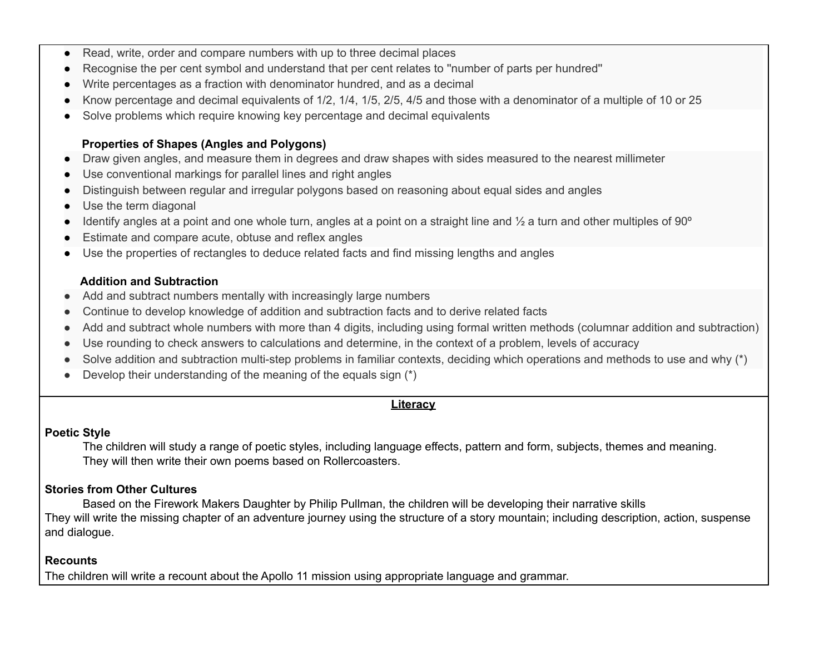- Read, write, order and compare numbers with up to three decimal places
- Recognise the per cent symbol and understand that per cent relates to "number of parts per hundred"
- Write percentages as a fraction with denominator hundred, and as a decimal
- Know percentage and decimal equivalents of 1/2, 1/4, 1/5, 2/5, 4/5 and those with a denominator of a multiple of 10 or 25
- Solve problems which require knowing key percentage and decimal equivalents

#### **Properties of Shapes (Angles and Polygons)**

- Draw given angles, and measure them in degrees and draw shapes with sides measured to the nearest millimeter
- Use conventional markings for parallel lines and right angles
- Distinguish between regular and irregular polygons based on reasoning about equal sides and angles
- Use the term diagonal
- $\bullet$  Identify angles at a point and one whole turn, angles at a point on a straight line and  $\frac{1}{2}$  a turn and other multiples of 90 $^{\circ}$
- Estimate and compare acute, obtuse and reflex angles
- Use the properties of rectangles to deduce related facts and find missing lengths and angles

#### **Addition and Subtraction**

- Add and subtract numbers mentally with increasingly large numbers
- Continue to develop knowledge of addition and subtraction facts and to derive related facts
- Add and subtract whole numbers with more than 4 digits, including using formal written methods (columnar addition and subtraction)
- Use rounding to check answers to calculations and determine, in the context of a problem, levels of accuracy
- Solve addition and subtraction multi-step problems in familiar contexts, deciding which operations and methods to use and why (\*)
- Develop their understanding of the meaning of the equals sign  $(*)$

## **Literacy**

#### **Poetic Style**

The children will study a range of poetic styles, including language effects, pattern and form, subjects, themes and meaning. They will then write their own poems based on Rollercoasters.

## **Stories from Other Cultures**

Based on the Firework Makers Daughter by Philip Pullman, the children will be developing their narrative skills They will write the missing chapter of an adventure journey using the structure of a story mountain; including description, action, suspense and dialogue.

## **Recounts**

The children will write a recount about the Apollo 11 mission using appropriate language and grammar.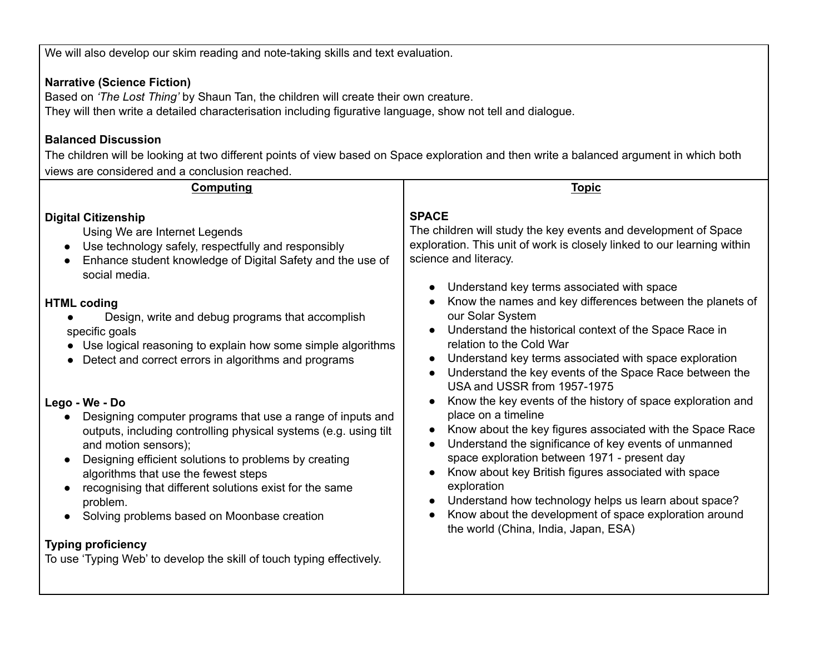We will also develop our skim reading and note-taking skills and text evaluation.

## **Narrative (Science Fiction)**

Based on *'The Lost Thing'* by Shaun Tan, the children will create their own creature. They will then write a detailed characterisation including figurative language, show not tell and dialogue.

## **Balanced Discussion**

The children will be looking at two different points of view based on Space exploration and then write a balanced argument in which both views are considered and a conclusion reached.

| <b>SPACE</b><br>The children will study the key events and development of Space<br>Using We are Internet Legends<br>exploration. This unit of work is closely linked to our learning within<br>Use technology safely, respectfully and responsibly<br>$\bullet$<br>science and literacy.<br>Enhance student knowledge of Digital Safety and the use of<br>social media.<br>Understand key terms associated with space<br>Know the names and key differences between the planets of<br>our Solar System<br>Design, write and debug programs that accomplish<br>Understand the historical context of the Space Race in<br>specific goals<br>relation to the Cold War<br>Use logical reasoning to explain how some simple algorithms<br>Understand key terms associated with space exploration<br>Detect and correct errors in algorithms and programs<br>Understand the key events of the Space Race between the<br>USA and USSR from 1957-1975<br>Know the key events of the history of space exploration and<br>place on a timeline<br>Designing computer programs that use a range of inputs and<br>$\bullet$<br>Know about the key figures associated with the Space Race<br>outputs, including controlling physical systems (e.g. using tilt<br>Understand the significance of key events of unmanned<br>and motion sensors);<br>space exploration between 1971 - present day<br>Designing efficient solutions to problems by creating<br>Know about key British figures associated with space<br>algorithms that use the fewest steps<br>exploration<br>recognising that different solutions exist for the same<br>Understand how technology helps us learn about space?<br>problem.<br>Know about the development of space exploration around<br>Solving problems based on Moonbase creation<br>$\bullet$<br>the world (China, India, Japan, ESA) | <b>Computing</b>                                                                                                                                                         | <b>Topic</b> |
|--------------------------------------------------------------------------------------------------------------------------------------------------------------------------------------------------------------------------------------------------------------------------------------------------------------------------------------------------------------------------------------------------------------------------------------------------------------------------------------------------------------------------------------------------------------------------------------------------------------------------------------------------------------------------------------------------------------------------------------------------------------------------------------------------------------------------------------------------------------------------------------------------------------------------------------------------------------------------------------------------------------------------------------------------------------------------------------------------------------------------------------------------------------------------------------------------------------------------------------------------------------------------------------------------------------------------------------------------------------------------------------------------------------------------------------------------------------------------------------------------------------------------------------------------------------------------------------------------------------------------------------------------------------------------------------------------------------------------------------------------------------------------------------------------------------------------------------------------------|--------------------------------------------------------------------------------------------------------------------------------------------------------------------------|--------------|
|                                                                                                                                                                                                                                                                                                                                                                                                                                                                                                                                                                                                                                                                                                                                                                                                                                                                                                                                                                                                                                                                                                                                                                                                                                                                                                                                                                                                                                                                                                                                                                                                                                                                                                                                                                                                                                                        | <b>Digital Citizenship</b><br><b>HTML coding</b><br>Lego - We - Do<br><b>Typing proficiency</b><br>To use 'Typing Web' to develop the skill of touch typing effectively. |              |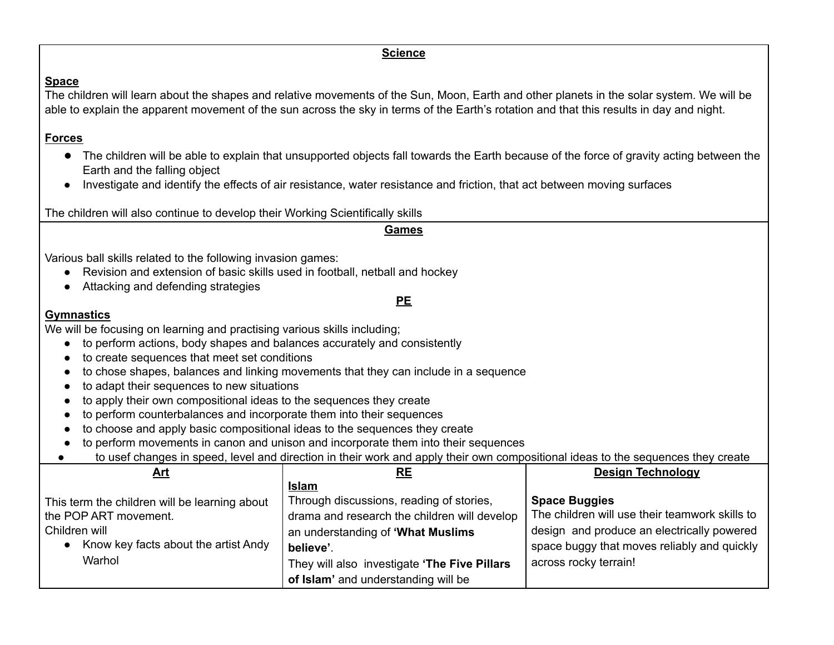#### **Science**

### **Space**

The children will learn about the shapes and relative movements of the Sun, Moon, Earth and other planets in the solar system. We will be able to explain the apparent movement of the sun across the sky in terms of the Earth's rotation and that this results in day and night.

## **Forces**

- The children will be able to explain that unsupported objects fall towards the Earth because of the force of gravity acting between the Earth and the falling object
- Investigate and identify the effects of air resistance, water resistance and friction, that act between moving surfaces

The children will also continue to develop their Working Scientifically skills

| <b>Games</b>                                                                                                                                                                      |                                                                                     |                                                |  |  |  |  |
|-----------------------------------------------------------------------------------------------------------------------------------------------------------------------------------|-------------------------------------------------------------------------------------|------------------------------------------------|--|--|--|--|
| Various ball skills related to the following invasion games:<br>Revision and extension of basic skills used in football, netball and hockey<br>Attacking and defending strategies |                                                                                     |                                                |  |  |  |  |
|                                                                                                                                                                                   | PE                                                                                  |                                                |  |  |  |  |
| <b>Gymnastics</b>                                                                                                                                                                 |                                                                                     |                                                |  |  |  |  |
| We will be focusing on learning and practising various skills including;                                                                                                          |                                                                                     |                                                |  |  |  |  |
| to perform actions, body shapes and balances accurately and consistently                                                                                                          |                                                                                     |                                                |  |  |  |  |
| to create sequences that meet set conditions                                                                                                                                      |                                                                                     |                                                |  |  |  |  |
| to adapt their sequences to new situations                                                                                                                                        | to chose shapes, balances and linking movements that they can include in a sequence |                                                |  |  |  |  |
| to apply their own compositional ideas to the sequences they create                                                                                                               |                                                                                     |                                                |  |  |  |  |
| to perform counterbalances and incorporate them into their sequences                                                                                                              |                                                                                     |                                                |  |  |  |  |
| to choose and apply basic compositional ideas to the sequences they create                                                                                                        |                                                                                     |                                                |  |  |  |  |
| to perform movements in canon and unison and incorporate them into their sequences                                                                                                |                                                                                     |                                                |  |  |  |  |
| to usef changes in speed, level and direction in their work and apply their own compositional ideas to the sequences they create                                                  |                                                                                     |                                                |  |  |  |  |
| <u>Art</u>                                                                                                                                                                        | <b>RE</b>                                                                           | <b>Design Technology</b>                       |  |  |  |  |
|                                                                                                                                                                                   | <u>Islam</u>                                                                        |                                                |  |  |  |  |
| This term the children will be learning about                                                                                                                                     | Through discussions, reading of stories,                                            | <b>Space Buggies</b>                           |  |  |  |  |
| the POP ART movement.                                                                                                                                                             | drama and research the children will develop                                        | The children will use their teamwork skills to |  |  |  |  |
| Children will                                                                                                                                                                     | an understanding of 'What Muslims                                                   | design and produce an electrically powered     |  |  |  |  |
| Know key facts about the artist Andy                                                                                                                                              | believe'.                                                                           | space buggy that moves reliably and quickly    |  |  |  |  |
| Warhol                                                                                                                                                                            | They will also investigate 'The Five Pillars                                        | across rocky terrain!                          |  |  |  |  |
|                                                                                                                                                                                   | of Islam' and understanding will be                                                 |                                                |  |  |  |  |